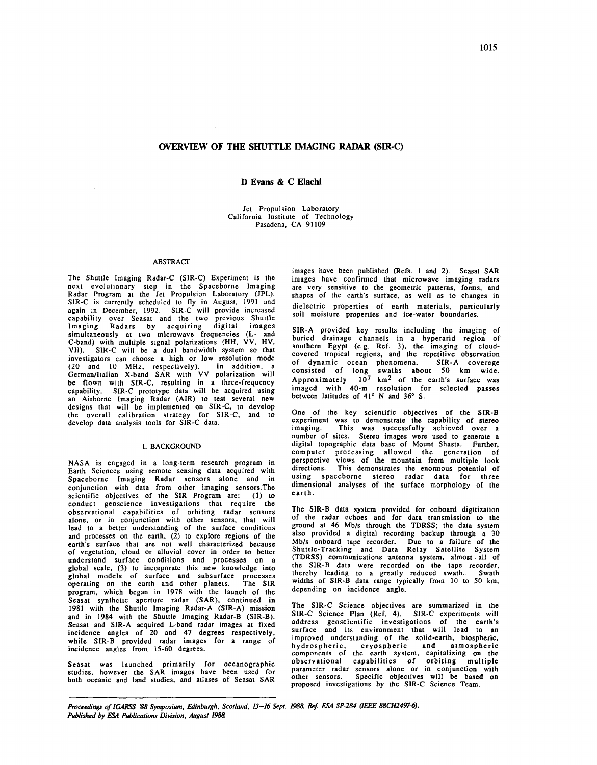# OVERVIEW OF THE SHUTTLE IMAGING RADAR (SIR-C)

## D Evans & C Elachi

Jet Propulsion Laboratory California Institute of Technology Pasadena, CA 91109

# ABSTRACT

The Shuttle Imaging Radar-C (SIR-C) Experiment is the next evolutionary step in the Spaceborne Imaging Radar Program at the Jet Propulsion Laboratory (JPL). SIR-C is currently scheduled to fly in August, 1991 and again in December, 1992. SIR-C will provide increased capability over Seasat and the two previous Shuttle Imaging Radars by acquiring digital images simultaneously at two microwave frequencies (L- and C-band) with multiple signal polarizations (HH, VV, HV, VH). SIR-C will be a dual bandwidth system so that investigators can choose a high or low resolution mode (20 and 10 MHz, respectively). In addition, a German/Italian X-band SAR with VV polarization will be flown with SIR-C, resulting in a three-frequency capability. SIR-C prototype data will be acquired using an Airborne Imaging Radar (AIR) to test several new designs that will be implemented on SIR-C, to develop the overall calibration strategy for SIR-C, and to develop data analysis tools for SIR-C data.

### I. BACKGROUND

NASA is engaged in a long-term research program in Earth Sciences using remote sensing data acquired with Spaceborne Imaging Radar sensors alone and in conjunction with data from other imaging sensors.The scientific objectives of the SIR Program are: (1) to conduct geoscience investigations that require the observational capabilities of orbiting radar sensors alone, or in conjunction with other sensors, that will lead to a better understanding of the surface conditions and processes on the earth,  $(2)$  to explore regions of the earth's surface that are not well characterized because of vegetation, cloud or alluvial cover in order to better understand surface conditions and processes on a global scale, (3) to incorporate this new knowledge into global models of surface and subsurface processes<br>operating on the earth and other planets. The SIR operating on the earth and other planets. program, which began in 1978 with the launch of the Seasat synthetic aperture radar (SAR), continued in 1981 with the Shuttle Imaging Radar-A (SIR-A) mission and in I984 with the Shuttle Imaging Radar-B (SIR-B). Seasat and SIR-A acquired L-band radar images at fixed incidence angles of 20 and 47 degrees respectively, while SIR-B provided radar images for a range of incidence angles from 15-60 degrees.

Seasat was launched primarily for oceanographic studies, however the SAR images have been used for both oceanic and land studies. and atlases of Seasat SAR

images have been published (Refs. 1 and 2). Seasat SAR images have confirmed that microwave imaging radars are very sensitive to the geometric patterns, forms, and shapes of the earth's surface, as well as to changes in dielectric properties of earth materials, particularly soil moisture properties and ice-water boundaries.

SIR-A provided key results including the imaging of buried drainage channels in a hyperarid region of southern Egypt (e.g. Ref. 3), the imaging of cloudcovered tropical regions, and the repetitive observation of dynamic ocean phenomena. SIR-A coverage consisted of long swaths about 50 km wide. Approximately  $10^7$  km<sup>2</sup> of the earth's surface was imaged with 40-m resolution for selected passes between latitudes of 41° N and 36° S.

One of the key scientific objectives of the SJR-B experiment was to demonstrate the capability of stereo imaging. This was successfully achieved over a This was successfully achieved over a number of sites. Stereo images were used to generate a digital topographic data base of Mount Shasta. Further, computer processing allowed the generation of perspective views of the mountain from multiple look directions. This demonstrates the enormous potential of using spaceborne stereo radar data for three dimensional analyses of the surface morphology of the earth.

The SIR-B data system provided for onboard digitization of the radar echoes and for data transmission to the ground at 46 Mb/s through the TDRSS; the data system also provided a digital recording backup through a 30 Mb/s onboard tape recorder. Due to a failure of the Shuttle-Tracking and Data Relay Satellite System (TDRSS) communications antenna system, almost . all of the SIR-B data were recorded on the tape recorder, thereby leading to a greatly reduced swath. Swath widths of SIR-B data range typically from 10 to 50 km, depending on incidence angle.

The SIR-C Science objectives are summarized in the SIR-C Science Plan (Ref. 4). SIR-C experiments will address geoscientific investigations of the earth's surface and its environment that will lead to an improved understanding of the solid-earth, biospheric, hydrospheric, cryospheric and atmospheric<br>components of the earth system, capitalizing on the<br>observational capabilities of orbiting multiple parameter radar sensors alone or in conjunction with other sensors. Specific objectives will be based on proposed investigations by the SIR-C Science Team.

Proceedings of IGARSS '88 Symposium, Edinburgh, Scotland, 13-16 Sept. 1988. Ref. ESA SP-284 (IEEE 88CH2497-6). *Published by ESA Publications Division, August 1988.*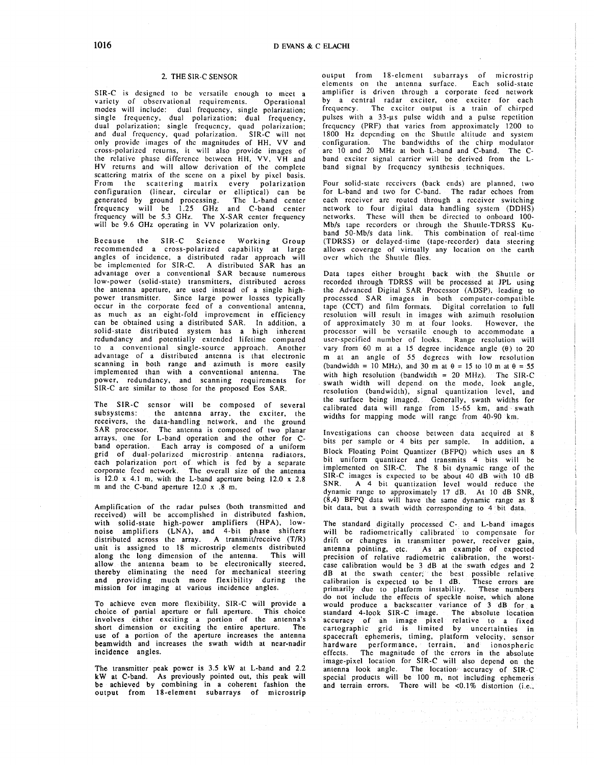## 2. THE SIR-C SENSOR

SIR-C is designed to be versatile enough to meet a variety of observational requirements. Operational modes will include: dual frequency. single polarization; single frequency, dual polarization; dual frequency, dual polarization; single frequency, quad polarization; and dual frequency, quad polarization. SIR-C will not only provide images of the magnitudes of HH, VV and cross-polarized returns, it will also provide images of the relative phase difference between HH, VV, VH and HV returns and will allow derivation of the complete scattering matrix of the scene on a pixel by pixel basis. From the scattering matrix every polarization configuration (linear, circular or elliptical) can be generated by ground processing. The L-band center frequency will be 1.25 GHz and C-band center frequency will be 5.3 GHz. The X-SAR center frequency will be 9.6 GHz operating in VV polarization only.

Because the SIR-C Science Working Group recommended a cross-polarized capability at large angles of incidence, a distributed radar approach will be implemented for SIR-C. A distributed SAR has an advantage over a conventional SAR because numerous low-power (solid-state) transmitters, distributed across the antenna aperture, are used instead of a single highpower transmitter. Since large power losses typically occur in the corporate feed of a conventional antenna, as much as an eight-fold improvement in efficiency can be obtained using a distributed SAR. In addition, a solid-state distributed system has a high inherent redundancy and potentially extended lifetime compared to a conventional single-source approach. Another advantage of a distributed antenna is that electronic scanning in both range and azimuth is more easily implemented than with a conventional antenna. The power, redundancy, and scanning requirements for SIR-C arc similar to those for the proposed Eos SAR.

The SIR-C sensor will be composed of several subsystems: the antenna array. the exciter, the receivers, the data-handling network, and the ground SAR processor. The antenna is composed of two planar arrays. one for L-band operation and the other for Chand operation. Each array is composed of a uniform grid of dual-polarized microstrip antenna radiators, each polarization port of which is fed by a separate corporate feed network. The overall size of the antenna is 12.0 x 4.1 m, with the L-band aperture being 12.0 x 2.8 m and the C-band aperture 12.0 x .8 m.

Amplification of the radar pulses (both transmitted and received) will be accomplished in distributed fashion, with solid-state high-power amplifiers (HPA), lownoise amplifiers (LNA), and 4-bit phase shifters distributed across the array. A transmit/receive (T/R) unit is assigned to 18 microstrip elements distributed along the long dimension of the antenna. This will allow the antenna beam to be electronically steered, thereby eliminating the need for mechanical steering and providing much more flexibility during the mission for imaging at various incidence angles.

To achieve even more flexibility, S1R-C will provide a choice of partial aperture or full aperture. This choice involves either exciting a portion of the antenna's short dimension or exciting the entire aperture. The use of a portion of the aperture increases the antenna beamwidth and increases the swath width at near-nadir incidence angles.

The transmitter peak power is 3.5 kW at L-band and 2.2 kW at C-band. As previously pointed out, this peak will be achieved by combining in a coherent fashion the output from 18-element subarrays of microstrip ouiput from 18-elcmcnt subarrays of microstrip elements on the antenna surface. Each solid-state amplifier is driven through a corporate feed network by a central radar exciter, one exciter for each frequency. The exciter output is a train of chirped pulses with a 33-µs pulse width and a pulse repetition frequency (PRF) that varies from approximately 1200 to 1800 Hz depending on the Shuttle altitude and system configuration. The bandwidths of the chirp modulator arc 10 and 20 MHz at both L-band and C-band. The Cband exciter signal carrier will be derived from the Lband signal by frequency synthesis techniques.

Four solid-state receivers (back ends) are planned, two for L-band and two for C-band. The radar echoes from each receiver are routed through a receiver switching network to four digital data handling system (DDHS) networks. These will then be directed to onboard 100- Mb/s tape recorders or through the Shuttle-TDRSS Kuband 50-Mb/s data link. This combination of real-time (TDRSS) or delayed-time (tape-recorder) data steering allows coverage of virtually any location on the earth over which the Shuttle flies.

Data tapes either brought back with the Shuttle or recorded through TDRSS will be processed at JPL using the Advanced Digital SAR Processor (ADSP), leading to processed SAR images in both computer-compatible tape (CCT) and film formats. Digital correlation to full resolution will result in images with azimuth resolution of approximately 30 m at four looks. However, the processor will be versatile enough to accommodate a user-specified number of looks. Range resolution will vary from 60 m at a 15 degree incidence angle  $(0)$  to 20 m at an angle of *55* degrees with low resolution (bandwidth = 10 MHz), and 30 m at  $\theta$  = 15 to 10 m at  $\theta$  = 55 with high resolution (bandwidth =  $20$  MHz). The SIR-C swath width will depend on the mode, look angle, resolution (bandwidth), signal quantization level, and the surface being imaged. Generally, swath widths for calibrated data will range from 15-65 km, and swath widths for mapping mode will range from 40-90 km.

Investigations can choose between data acquired at 8 bits per sample or 4 bits per sample. In addition, a Block Floating Point Quantizer (BFPQ) which uses an 8 bit uniform quantizer and transmits 4 bits will be implemented on SIR-C. The 8 bit dynamic range of the SIR-C images is expected to be about 40 dB with 10 dB SNR. A 4 bit quantization level would reduce the dynamic range to approximately 17 dB. At 10 dB SNR, (8,4) BFPQ data will have the same dynamic range as 8 bit data, but a swath width corresponding to 4 bit data.

The standard digitally processed C- and L-band images will be radiomctrically calibrated to compensate for drift or changes in transmitter power, receiver gain, antenna pointing, etc. As an example of expected precision of relative radiometric calibration, the worstcase calibration would be 3 dB at the swath edges and 2 dB at the swath center; the best possible relative calibration is expected to be 1 dB. These errors are primarily due to platform instability. These numbers do not include the effects of speckle noise, which alone would produce a backscatter variance of 3 dB for a standard 4-look SIR-C image. The absolute location accuracy of an image pixel relative to a fixed cartographic grid is limited by uncertainties in spacecraft ephemeris, timing, platform velocity, sensor hardware performance, terrain, and ionospheric effects. The magnitude of the errors in the absolute image-pixel location for SIR-C will also depend on the antenna look angle. The location· accuracy of SIR-C special products will be 100 m, not including ephemeris and terrain errors. There will be <0.1% distortion (i.e.,

 $\begin{split} \mathcal{A}_{\mathcal{M}}(\mathcal{L}_{\mathcal{M}}(\mathcal{H})) \leq \mathcal{L}_{\mathcal{M}}(\mathcal{H}_{\mathcal{M}}(\mathcal{H})) \leq \mathcal{L}_{\mathcal{M}}(\mathcal{H}_{\mathcal{M}}(\mathcal{H})) \leq \mathcal{L}_{\mathcal{M}}(\mathcal{H}_{\mathcal{M}}(\mathcal{H})) \leq \mathcal{L}_{\mathcal{M}}(\mathcal{H}_{\mathcal{M}}(\mathcal{H})) \leq \mathcal{L}_{\mathcal{M}}(\mathcal{H}_{\mathcal{M}}(\mathcal{H})) \leq \mathcal{L}_{\mathcal{M}}(\mathcal{H$